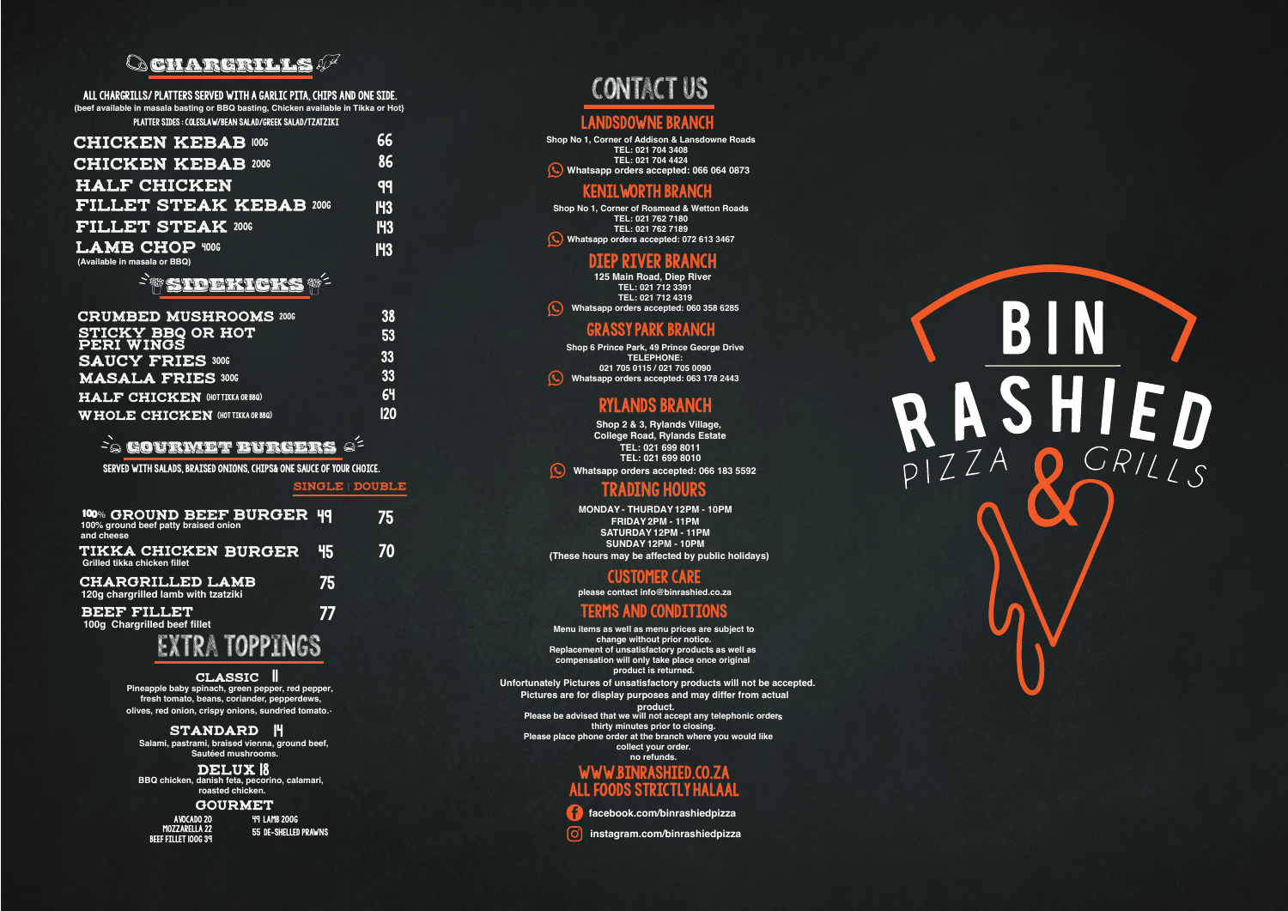**Shop No 1, Corner of Addison & Lansdowne Roads TEL: 021 704 3408 TEL: 021 704 4424** Whatsapp orders accepted: 066 064 0873

**Shop No 1, Corner of Rosmead & Wetton Roads TEL: 021 762 7180 TEL: 021 762 7189 (C)** Whatsapp orders accepted: 072 613 3467

### contact us

#### LANDSDOWNE BRANCI

**Shop 6 Prince Park, 49 Prince George Drive TELEPHONE: 021 705 0115 / 021 705 0090** Whatsapp orders accepted: 063 178 2443

#### kenilworth branch

#### grassy park branch

#### customer care

**please contact info@binrashied.co.za**

#### terms and conditions

| <b>CRUMBED MUSHROOMS 2006</b>          | 38         |
|----------------------------------------|------------|
| <b>STICKY BBQ OR HOT PERI WINGS</b>    | <b>53</b>  |
| <b>SAUCY FRIES 3006</b>                | 33         |
| <b>MASALA FRIES 3006</b>               | 33         |
| HALF CHICKEN (HOT TIKKA OR BBQ)        | 64         |
| <b>WHOLE CHICKEN (HOTTIKKA OR BBQ)</b> | <b>120</b> |

**facebook.com/binrashiedpizza**

**instagram.com/binrashiedpizza**

# R



| <b>CHICKEN KEBAB 1006</b>                             | 66         |
|-------------------------------------------------------|------------|
| <b>CHICKEN KEBAB 2006</b>                             | 86         |
| <b>HALF CHICKEN</b>                                   | qq         |
| <b>FILLET STEAK KEBAB 2006</b>                        | <b>143</b> |
| <b>FILLET STEAK 2006</b>                              | <b>143</b> |
| <b>LAMB CHOP 4006</b><br>(Available in masala or BBQ) | <b>I43</b> |

#### Side kkreiks

| 100% GROUND BEEF BURGER 49 100% ground beef patty braised onion<br>and cheese |    | 75 |
|-------------------------------------------------------------------------------|----|----|
| <b>TIKKA CHICKEN BURGER</b><br>Grilled tikka chicken fillet                   | 45 | 70 |
| <b>CHARGRILLED LAMB</b><br>120g chargrilled lamb with tzatziki                | 75 |    |
| <b>BEEF FILLET</b><br>100g Chargrilled beef fillet                            | 77 |    |
|                                                                               |    |    |

classic | **Pineapple baby spinach, green pepper, red pepper, fresh tomato, beans, coriander, pepperdews, . olives, red onion, crispy onions, sundried tomato.**

#### standard H

**TEL: 021 712 3391 TEL: 021 712 4319** Whatsapp orders accepted: 060 358 6285 **125 Main Road, Diep River**

#### **Conargrills**

All chargrills/ platters served with a garlic pita, chips and one side. **(beef available in masala basting or BBQ basting, Chicken available in Tikka or Hot}** platter sides : coleslaw/bean salad/greek salad/tzatziki

> www.binrashied.co.za **Menu items as well as menu prices are subject to change without prior notice. Replacement of unsatisfactory products as well as compensation will only take place once original product is returned. Please be advised that we will not accept any telephonic orders thirty minutes prior to closing. Please place phone order at the branch where you would like collect your order. no refunds. Pictures are for display purposes and may differ from actual product. Unfortunately Pictures of unsatisfactory products will not be accepted.**

#### **FOODS STRICTLY HALAA**

#### gourmet burgers

SERVED WITH SALADS, BRAISED ONIONS, CHIPS& ONE SAUCE OF YOUR CHOICE. l

> **BBQ chicken, danish feta, pecorino, calamari, roasted chicken.**

#### **GOURMET**

avocado 20 Mozzarella 22 beef fillet 100g 39

#### TRADING HOURS

#### Rylands branch

Single | double

**MONDAY - THURDAY 12PM - 10PM FRIDAY 2PM - 11PM SATURDAY 12PM - 11PM SUNDAY 12PM - 10PM (These hours may be affected by public holidays)**

**Shop 2 & 3, Rylands Village, College Road, Rylands Estate TEL: 021 699 8011 Whatsapp orders accepted: 066 183 5592 TEL: 021 699 8010**

49 lamb 200g 55 de-shelled prawns

#### Diep river branch

**Salami, pastrami, braised vienna, ground beef, Sautéed mushrooms.**

DELUX 18